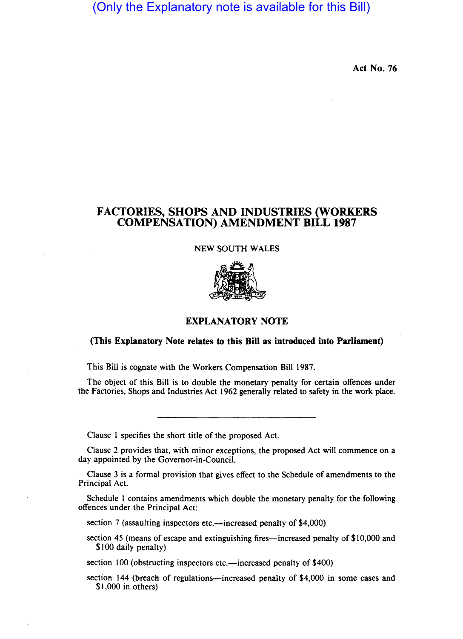# (Only the Explanatory note is available for this Bill)

Act No. 76

# FACTORIES, SHOPS AND INDUSTRIES (WORKERS COMPENSATION) AMENDMENT BILL 1987

#### NEW SOUTH WALES



## EXPLANATORY NOTE

### (This Explanatory Note relates to this Bill as introduced into Parliament)

This Bill is cognate with the Workers Compensation Bill 1987.

The object of this Bill is to double the monetary penalty for certain offences under the Factories, Shops and Industries Act 1962 generally related to safety in the work place.

Clause I specifies the short title of the proposed Act.

Clause 2 provides that, with minor exceptions, the proposed Act will commence on a day appointed by the Governor-in-Council.

Clause 3 is a formal provision that gives effect to the Schedule of amendments to the Principal Act.

. Schedule I contains amendments which double the monetary penalty for the following offences under the Principal Act:

section 7 (assaulting inspectors etc.—increased penalty of \$4,000)

section 45 (means of escape and extinguishing fires—increased penalty of \$10,000 and \$100 daily penalty)

section  $100$  (obstructing inspectors etc.—increased penalty of \$400)

section 144 (breach of regulations-increased penalty of \$4,000 in some cases and \$1,000 in others)